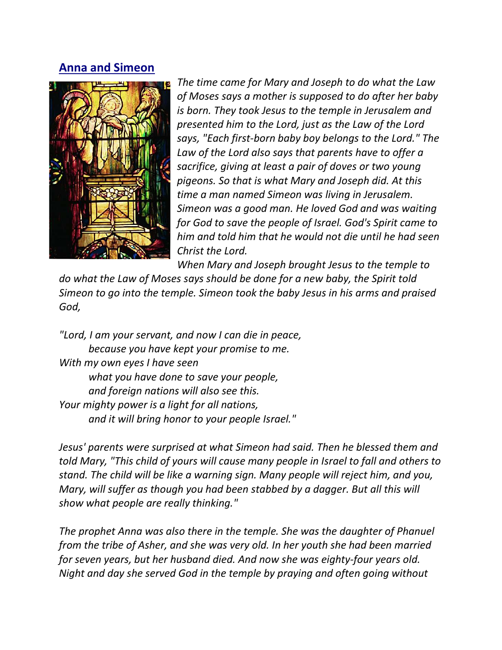# Anna and Simeon



The time came for Mary and Joseph to do what the Law of Moses says a mother is supposed to do after her baby is born. They took Jesus to the temple in Jerusalem and presented him to the Lord, just as the Law of the Lord says, "Each first-born baby boy belongs to the Lord." The Law of the Lord also says that parents have to offer a sacrifice, giving at least a pair of doves or two young pigeons. So that is what Mary and Joseph did. At this time a man named Simeon was living in Jerusalem. Simeon was a good man. He loved God and was waiting for God to save the people of Israel. God's Spirit came to him and told him that he would not die until he had seen Christ the Lord.

When Mary and Joseph brought Jesus to the temple to

do what the Law of Moses says should be done for a new baby, the Spirit told Simeon to go into the temple. Simeon took the baby Jesus in his arms and praised God,

"Lord, I am your servant, and now I can die in peace, because you have kept your promise to me. With my own eyes I have seen what you have done to save your people, and foreign nations will also see this. Your mighty power is a light for all nations, and it will bring honor to your people Israel."

Jesus' parents were surprised at what Simeon had said. Then he blessed them and told Mary, "This child of yours will cause many people in Israel to fall and others to stand. The child will be like a warning sign. Many people will reject him, and you, Mary, will suffer as though you had been stabbed by a dagger. But all this will show what people are really thinking."

The prophet Anna was also there in the temple. She was the daughter of Phanuel from the tribe of Asher, and she was very old. In her youth she had been married for seven years, but her husband died. And now she was eighty-four years old. Night and day she served God in the temple by praying and often going without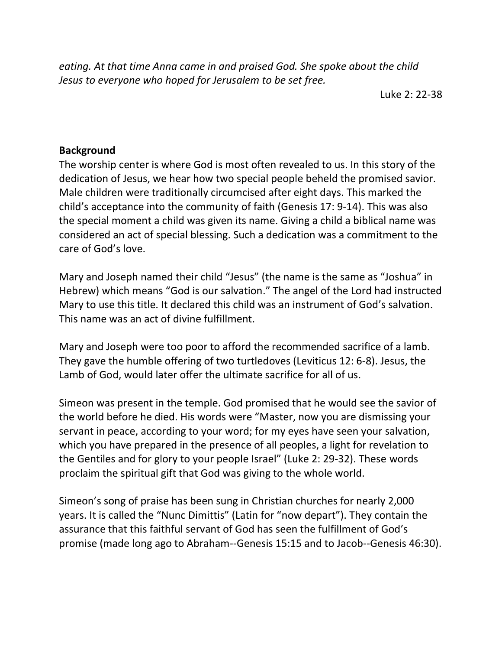eating. At that time Anna came in and praised God. She spoke about the child Jesus to everyone who hoped for Jerusalem to be set free.

Luke 2: 22-38

#### Background

The worship center is where God is most often revealed to us. In this story of the dedication of Jesus, we hear how two special people beheld the promised savior. Male children were traditionally circumcised after eight days. This marked the child's acceptance into the community of faith (Genesis 17: 9-14). This was also the special moment a child was given its name. Giving a child a biblical name was considered an act of special blessing. Such a dedication was a commitment to the care of God's love.

Mary and Joseph named their child "Jesus" (the name is the same as "Joshua" in Hebrew) which means "God is our salvation." The angel of the Lord had instructed Mary to use this title. It declared this child was an instrument of God's salvation. This name was an act of divine fulfillment.

Mary and Joseph were too poor to afford the recommended sacrifice of a lamb. They gave the humble offering of two turtledoves (Leviticus 12: 6-8). Jesus, the Lamb of God, would later offer the ultimate sacrifice for all of us.

Simeon was present in the temple. God promised that he would see the savior of the world before he died. His words were "Master, now you are dismissing your servant in peace, according to your word; for my eyes have seen your salvation, which you have prepared in the presence of all peoples, a light for revelation to the Gentiles and for glory to your people Israel" (Luke 2: 29-32). These words proclaim the spiritual gift that God was giving to the whole world.

Simeon's song of praise has been sung in Christian churches for nearly 2,000 years. It is called the "Nunc Dimittis" (Latin for "now depart"). They contain the assurance that this faithful servant of God has seen the fulfillment of God's promise (made long ago to Abraham--Genesis 15:15 and to Jacob--Genesis 46:30).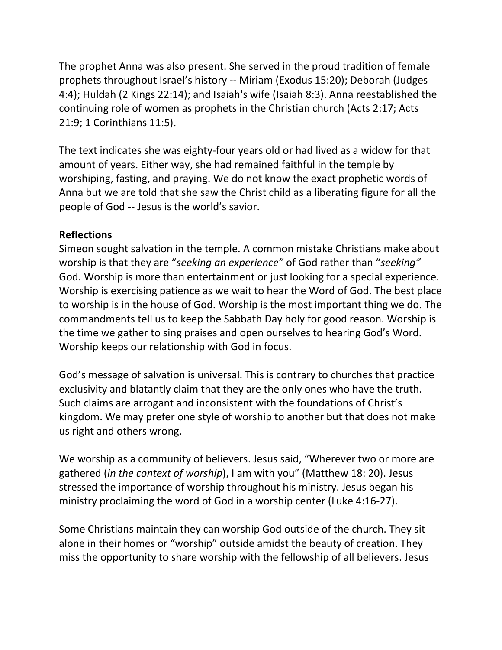The prophet Anna was also present. She served in the proud tradition of female prophets throughout Israel's history -- Miriam (Exodus 15:20); Deborah (Judges 4:4); Huldah (2 Kings 22:14); and Isaiah's wife (Isaiah 8:3). Anna reestablished the continuing role of women as prophets in the Christian church (Acts 2:17; Acts 21:9; 1 Corinthians 11:5).

The text indicates she was eighty-four years old or had lived as a widow for that amount of years. Either way, she had remained faithful in the temple by worshiping, fasting, and praying. We do not know the exact prophetic words of Anna but we are told that she saw the Christ child as a liberating figure for all the people of God -- Jesus is the world's savior.

### **Reflections**

Simeon sought salvation in the temple. A common mistake Christians make about worship is that they are "seeking an experience" of God rather than "seeking" God. Worship is more than entertainment or just looking for a special experience. Worship is exercising patience as we wait to hear the Word of God. The best place to worship is in the house of God. Worship is the most important thing we do. The commandments tell us to keep the Sabbath Day holy for good reason. Worship is the time we gather to sing praises and open ourselves to hearing God's Word. Worship keeps our relationship with God in focus.

God's message of salvation is universal. This is contrary to churches that practice exclusivity and blatantly claim that they are the only ones who have the truth. Such claims are arrogant and inconsistent with the foundations of Christ's kingdom. We may prefer one style of worship to another but that does not make us right and others wrong.

We worship as a community of believers. Jesus said, "Wherever two or more are gathered (in the context of worship), I am with you" (Matthew 18: 20). Jesus stressed the importance of worship throughout his ministry. Jesus began his ministry proclaiming the word of God in a worship center (Luke 4:16-27).

Some Christians maintain they can worship God outside of the church. They sit alone in their homes or "worship" outside amidst the beauty of creation. They miss the opportunity to share worship with the fellowship of all believers. Jesus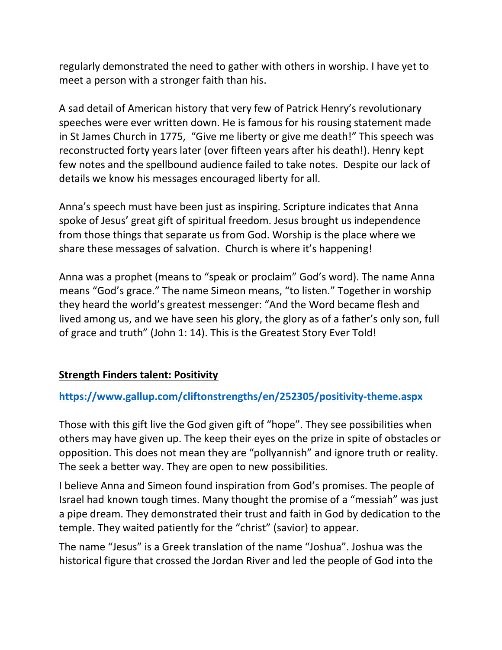regularly demonstrated the need to gather with others in worship. I have yet to meet a person with a stronger faith than his.

A sad detail of American history that very few of Patrick Henry's revolutionary speeches were ever written down. He is famous for his rousing statement made in St James Church in 1775, "Give me liberty or give me death!" This speech was reconstructed forty years later (over fifteen years after his death!). Henry kept few notes and the spellbound audience failed to take notes. Despite our lack of details we know his messages encouraged liberty for all.

Anna's speech must have been just as inspiring. Scripture indicates that Anna spoke of Jesus' great gift of spiritual freedom. Jesus brought us independence from those things that separate us from God. Worship is the place where we share these messages of salvation. Church is where it's happening!

Anna was a prophet (means to "speak or proclaim" God's word). The name Anna means "God's grace." The name Simeon means, "to listen." Together in worship they heard the world's greatest messenger: "And the Word became flesh and lived among us, and we have seen his glory, the glory as of a father's only son, full of grace and truth" (John 1: 14). This is the Greatest Story Ever Told!

### Strength Finders talent: Positivity

### https://www.gallup.com/cliftonstrengths/en/252305/positivity-theme.aspx

Those with this gift live the God given gift of "hope". They see possibilities when others may have given up. The keep their eyes on the prize in spite of obstacles or opposition. This does not mean they are "pollyannish" and ignore truth or reality. The seek a better way. They are open to new possibilities.

I believe Anna and Simeon found inspiration from God's promises. The people of Israel had known tough times. Many thought the promise of a "messiah" was just a pipe dream. They demonstrated their trust and faith in God by dedication to the temple. They waited patiently for the "christ" (savior) to appear.

The name "Jesus" is a Greek translation of the name "Joshua". Joshua was the historical figure that crossed the Jordan River and led the people of God into the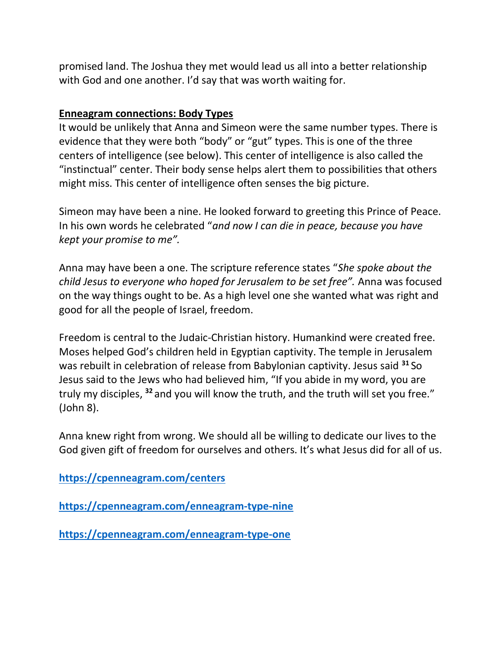promised land. The Joshua they met would lead us all into a better relationship with God and one another. I'd say that was worth waiting for.

#### Enneagram connections: Body Types

It would be unlikely that Anna and Simeon were the same number types. There is evidence that they were both "body" or "gut" types. This is one of the three centers of intelligence (see below). This center of intelligence is also called the "instinctual" center. Their body sense helps alert them to possibilities that others might miss. This center of intelligence often senses the big picture.

Simeon may have been a nine. He looked forward to greeting this Prince of Peace. In his own words he celebrated "and now I can die in peace, because you have kept your promise to me".

Anna may have been a one. The scripture reference states "She spoke about the child Jesus to everyone who hoped for Jerusalem to be set free". Anna was focused on the way things ought to be. As a high level one she wanted what was right and good for all the people of Israel, freedom.

Freedom is central to the Judaic-Christian history. Humankind were created free. Moses helped God's children held in Egyptian captivity. The temple in Jerusalem was rebuilt in celebration of release from Babylonian captivity. Jesus said <sup>31</sup> So Jesus said to the Jews who had believed him, "If you abide in my word, you are truly my disciples,  $32$  and you will know the truth, and the truth will set you free." (John 8).

Anna knew right from wrong. We should all be willing to dedicate our lives to the God given gift of freedom for ourselves and others. It's what Jesus did for all of us.

https://cpenneagram.com/centers

https://cpenneagram.com/enneagram-type-nine

https://cpenneagram.com/enneagram-type-one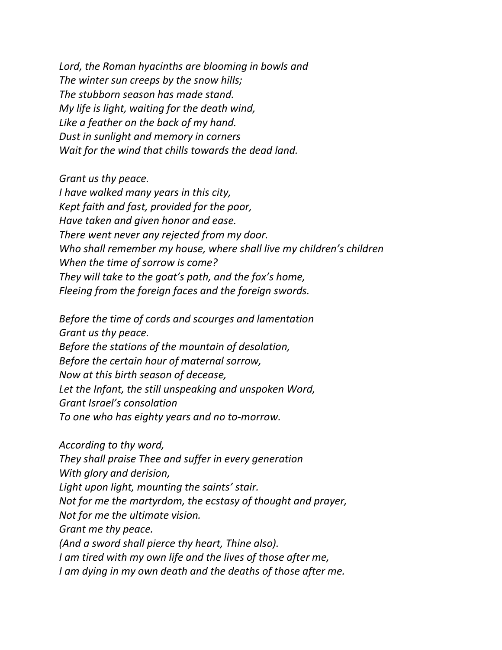Lord, the Roman hyacinths are blooming in bowls and The winter sun creeps by the snow hills; The stubborn season has made stand. My life is light, waiting for the death wind, Like a feather on the back of my hand. Dust in sunlight and memory in corners Wait for the wind that chills towards the dead land.

Grant us thy peace.

I have walked many years in this city, Kept faith and fast, provided for the poor, Have taken and given honor and ease. There went never any rejected from my door. Who shall remember my house, where shall live my children's children When the time of sorrow is come? They will take to the goat's path, and the fox's home, Fleeing from the foreign faces and the foreign swords.

Before the time of cords and scourges and lamentation Grant us thy peace. Before the stations of the mountain of desolation, Before the certain hour of maternal sorrow, Now at this birth season of decease, Let the Infant, the still unspeaking and unspoken Word, Grant Israel's consolation To one who has eighty years and no to-morrow.

According to thy word, They shall praise Thee and suffer in every generation With glory and derision, Light upon light, mounting the saints' stair. Not for me the martyrdom, the ecstasy of thought and prayer, Not for me the ultimate vision. Grant me thy peace. (And a sword shall pierce thy heart, Thine also). I am tired with my own life and the lives of those after me, I am dying in my own death and the deaths of those after me.